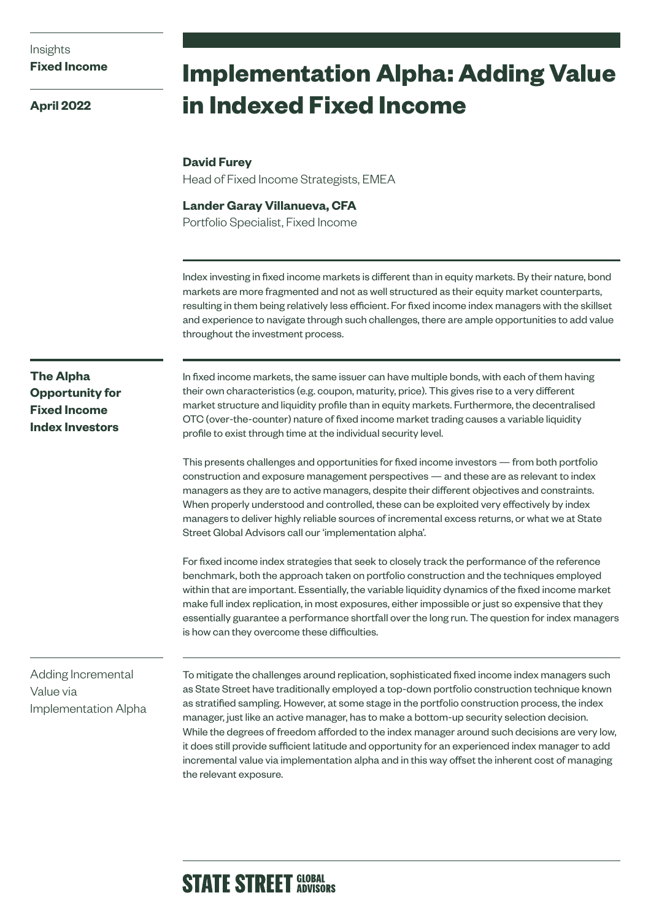**April 2022**

# **Implementation Alpha: Adding Value in Indexed Fixed Income**

#### **David Furey**

Head of Fixed Income Strategists, EMEA

#### **Lander Garay Villanueva, CFA**

Portfolio Specialist, Fixed Income

Index investing in fixed income markets is different than in equity markets. By their nature, bond markets are more fragmented and not as well structured as their equity market counterparts, resulting in them being relatively less efficient. For fixed income index managers with the skillset and experience to navigate through such challenges, there are ample opportunities to add value throughout the investment process.

**The Alpha Opportunity for Fixed Income Index Investors**

In fixed income markets, the same issuer can have multiple bonds, with each of them having their own characteristics (e.g. coupon, maturity, price). This gives rise to a very different market structure and liquidity profile than in equity markets. Furthermore, the decentralised OTC (over-the-counter) nature of fixed income market trading causes a variable liquidity profile to exist through time at the individual security level.

This presents challenges and opportunities for fixed income investors — from both portfolio construction and exposure management perspectives — and these are as relevant to index managers as they are to active managers, despite their different objectives and constraints. When properly understood and controlled, these can be exploited very effectively by index managers to deliver highly reliable sources of incremental excess returns, or what we at State Street Global Advisors call our 'implementation alpha'.

For fixed income index strategies that seek to closely track the performance of the reference benchmark, both the approach taken on portfolio construction and the techniques employed within that are important. Essentially, the variable liquidity dynamics of the fixed income market make full index replication, in most exposures, either impossible or just so expensive that they essentially guarantee a performance shortfall over the long run. The question for index managers is how can they overcome these difficulties.

Adding Incremental Value via Implementation Alpha

To mitigate the challenges around replication, sophisticated fixed income index managers such as State Street have traditionally employed a top-down portfolio construction technique known as stratified sampling. However, at some stage in the portfolio construction process, the index manager, just like an active manager, has to make a bottom-up security selection decision. While the degrees of freedom afforded to the index manager around such decisions are very low, it does still provide sufficient latitude and opportunity for an experienced index manager to add incremental value via implementation alpha and in this way offset the inherent cost of managing the relevant exposure.

## **STATE STREET GLOBAL**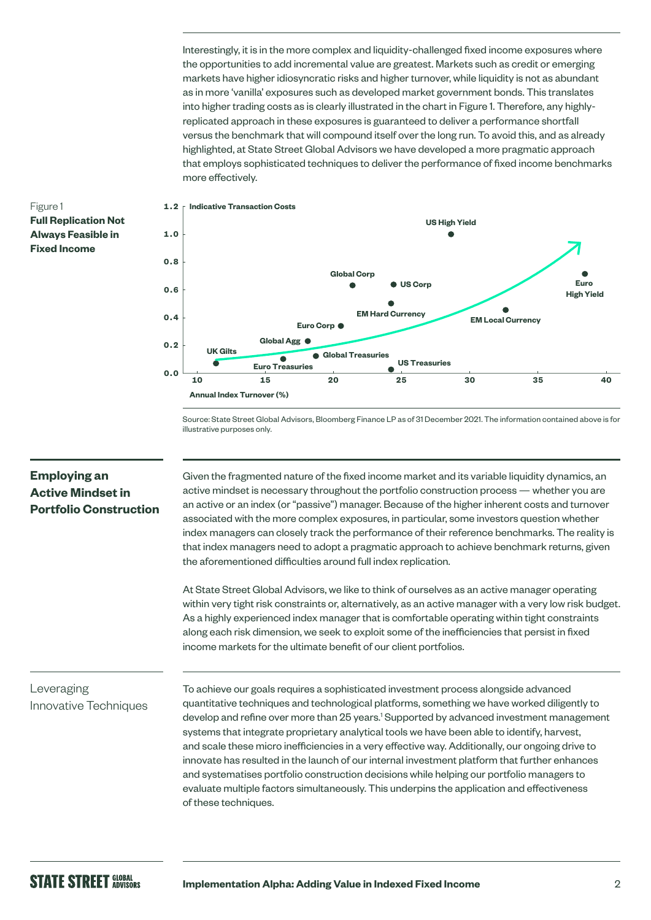Interestingly, it is in the more complex and liquidity-challenged fixed income exposures where the opportunities to add incremental value are greatest. Markets such as credit or emerging markets have higher idiosyncratic risks and higher turnover, while liquidity is not as abundant as in more 'vanilla' exposures such as developed market government bonds. This translates into higher trading costs as is clearly illustrated in the chart in Figure 1. Therefore, any highlyreplicated approach in these exposures is guaranteed to deliver a performance shortfall versus the benchmark that will compound itself over the long run. To avoid this, and as already highlighted, at State Street Global Advisors we have developed a more pragmatic approach that employs sophisticated techniques to deliver the performance of fixed income benchmarks more effectively.

#### Figure 1 **Full Replication Not Always Feasible in Fixed Income**



Source: State Street Global Advisors, Bloomberg Finance LP as of 31 December 2021. The information contained above is for illustrative purposes only.

#### **Employing an Active Mindset in Portfolio Construction**

Given the fragmented nature of the fixed income market and its variable liquidity dynamics, an active mindset is necessary throughout the portfolio construction process — whether you are an active or an index (or "passive") manager. Because of the higher inherent costs and turnover associated with the more complex exposures, in particular, some investors question whether index managers can closely track the performance of their reference benchmarks. The reality is that index managers need to adopt a pragmatic approach to achieve benchmark returns, given the aforementioned difficulties around full index replication.

At State Street Global Advisors, we like to think of ourselves as an active manager operating within very tight risk constraints or, alternatively, as an active manager with a very low risk budget. As a highly experienced index manager that is comfortable operating within tight constraints along each risk dimension, we seek to exploit some of the inefficiencies that persist in fixed income markets for the ultimate benefit of our client portfolios.

## Leveraging Innovative Techniques

To achieve our goals requires a sophisticated investment process alongside advanced quantitative techniques and technological platforms, something we have worked diligently to develop and refine over more than 25 years.<sup>1</sup> Supported by advanced investment management systems that integrate proprietary analytical tools we have been able to identify, harvest, and scale these micro inefficiencies in a very effective way. Additionally, our ongoing drive to innovate has resulted in the launch of our internal investment platform that further enhances and systematises portfolio construction decisions while helping our portfolio managers to evaluate multiple factors simultaneously. This underpins the application and effectiveness of these techniques.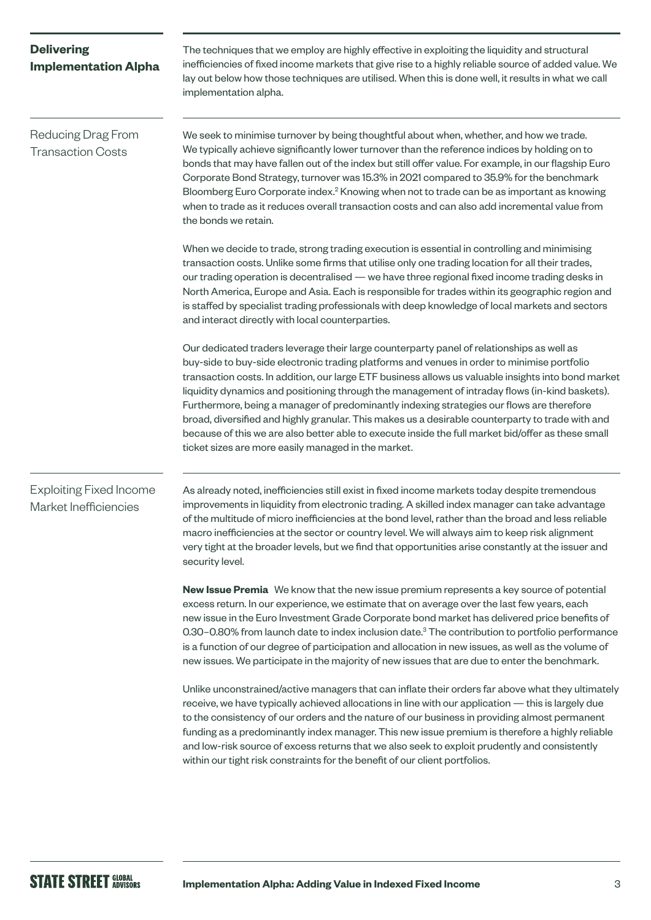## **Delivering Implementation Alpha**

The techniques that we employ are highly effective in exploiting the liquidity and structural inefficiencies of fixed income markets that give rise to a highly reliable source of added value. We lay out below how those techniques are utilised. When this is done well, it results in what we call implementation alpha.

Reducing Drag From Transaction Costs

We seek to minimise turnover by being thoughtful about when, whether, and how we trade. We typically achieve significantly lower turnover than the reference indices by holding on to bonds that may have fallen out of the index but still offer value. For example, in our flagship Euro Corporate Bond Strategy, turnover was 15.3% in 2021 compared to 35.9% for the benchmark Bloomberg Euro Corporate index.<sup>2</sup> Knowing when not to trade can be as important as knowing when to trade as it reduces overall transaction costs and can also add incremental value from the bonds we retain.

When we decide to trade, strong trading execution is essential in controlling and minimising transaction costs. Unlike some firms that utilise only one trading location for all their trades, our trading operation is decentralised — we have three regional fixed income trading desks in North America, Europe and Asia. Each is responsible for trades within its geographic region and is staffed by specialist trading professionals with deep knowledge of local markets and sectors and interact directly with local counterparties.

Our dedicated traders leverage their large counterparty panel of relationships as well as buy-side to buy-side electronic trading platforms and venues in order to minimise portfolio transaction costs. In addition, our large ETF business allows us valuable insights into bond market liquidity dynamics and positioning through the management of intraday flows (in-kind baskets). Furthermore, being a manager of predominantly indexing strategies our flows are therefore broad, diversified and highly granular. This makes us a desirable counterparty to trade with and because of this we are also better able to execute inside the full market bid/offer as these small ticket sizes are more easily managed in the market.

### Exploiting Fixed Income Market Inefficiencies

As already noted, inefficiencies still exist in fixed income markets today despite tremendous improvements in liquidity from electronic trading. A skilled index manager can take advantage of the multitude of micro inefficiencies at the bond level, rather than the broad and less reliable macro inefficiencies at the sector or country level. We will always aim to keep risk alignment very tight at the broader levels, but we find that opportunities arise constantly at the issuer and security level.

**New Issue Premia** We know that the new issue premium represents a key source of potential excess return. In our experience, we estimate that on average over the last few years, each new issue in the Euro Investment Grade Corporate bond market has delivered price benefits of 0.30-0.80% from launch date to index inclusion date.<sup>3</sup> The contribution to portfolio performance is a function of our degree of participation and allocation in new issues, as well as the volume of new issues. We participate in the majority of new issues that are due to enter the benchmark.

Unlike unconstrained/active managers that can inflate their orders far above what they ultimately receive, we have typically achieved allocations in line with our application — this is largely due to the consistency of our orders and the nature of our business in providing almost permanent funding as a predominantly index manager. This new issue premium is therefore a highly reliable and low-risk source of excess returns that we also seek to exploit prudently and consistently within our tight risk constraints for the benefit of our client portfolios.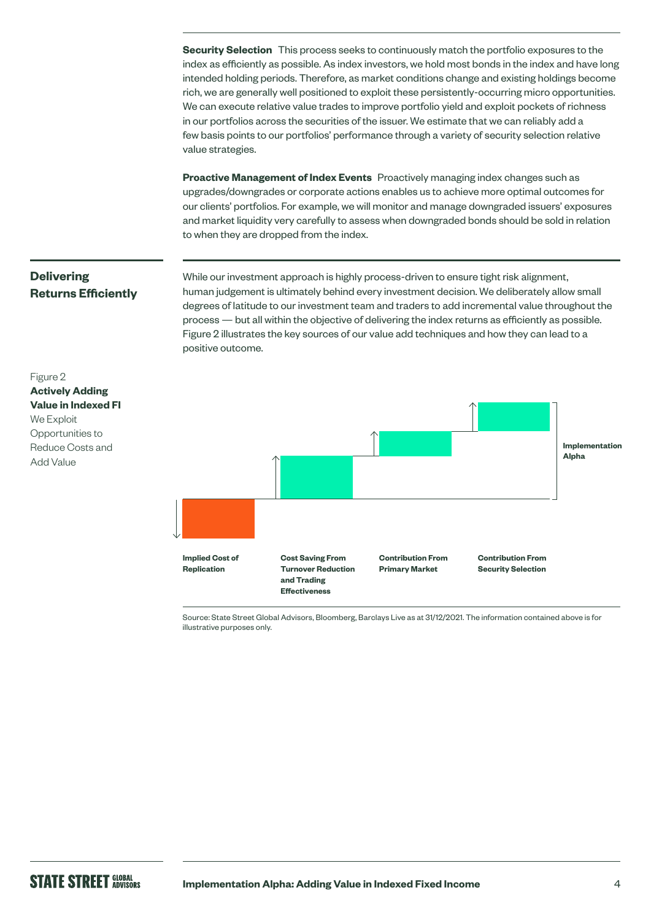**Security Selection** This process seeks to continuously match the portfolio exposures to the index as efficiently as possible. As index investors, we hold most bonds in the index and have long intended holding periods. Therefore, as market conditions change and existing holdings become rich, we are generally well positioned to exploit these persistently-occurring micro opportunities. We can execute relative value trades to improve portfolio yield and exploit pockets of richness in our portfolios across the securities of the issuer. We estimate that we can reliably add a few basis points to our portfolios' performance through a variety of security selection relative value strategies.

**Proactive Management of Index Events** Proactively managing index changes such as upgrades/downgrades or corporate actions enables us to achieve more optimal outcomes for our clients' portfolios. For example, we will monitor and manage downgraded issuers' exposures and market liquidity very carefully to assess when downgraded bonds should be sold in relation to when they are dropped from the index.

## **Delivering Returns Efficiently**

While our investment approach is highly process-driven to ensure tight risk alignment, human judgement is ultimately behind every investment decision. We deliberately allow small degrees of latitude to our investment team and traders to add incremental value throughout the process — but all within the objective of delivering the index returns as efficiently as possible. Figure 2 illustrates the key sources of our value add techniques and how they can lead to a positive outcome.



Source: State Street Global Advisors, Bloomberg, Barclays Live as at 31/12/2021. The information contained above is for illustrative purposes only.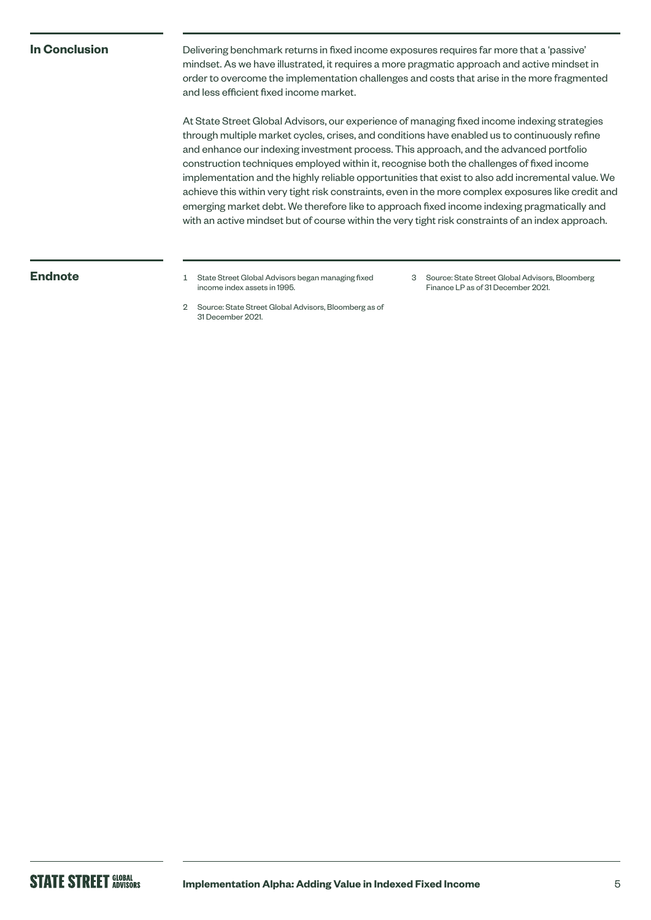#### **In Conclusion**

Delivering benchmark returns in fixed income exposures requires far more that a 'passive' mindset. As we have illustrated, it requires a more pragmatic approach and active mindset in order to overcome the implementation challenges and costs that arise in the more fragmented and less efficient fixed income market.

At State Street Global Advisors, our experience of managing fixed income indexing strategies through multiple market cycles, crises, and conditions have enabled us to continuously refine and enhance our indexing investment process. This approach, and the advanced portfolio construction techniques employed within it, recognise both the challenges of fixed income implementation and the highly reliable opportunities that exist to also add incremental value. We achieve this within very tight risk constraints, even in the more complex exposures like credit and emerging market debt. We therefore like to approach fixed income indexing pragmatically and with an active mindset but of course within the very tight risk constraints of an index approach.

#### **Endnote**

- 1 State Street Global Advisors began managing fixed income index assets in 1995.
- 3 Source: State Street Global Advisors, Bloomberg Finance LP as of 31 December 2021.
- 2 Source: State Street Global Advisors, Bloomberg as of 31 December 2021.